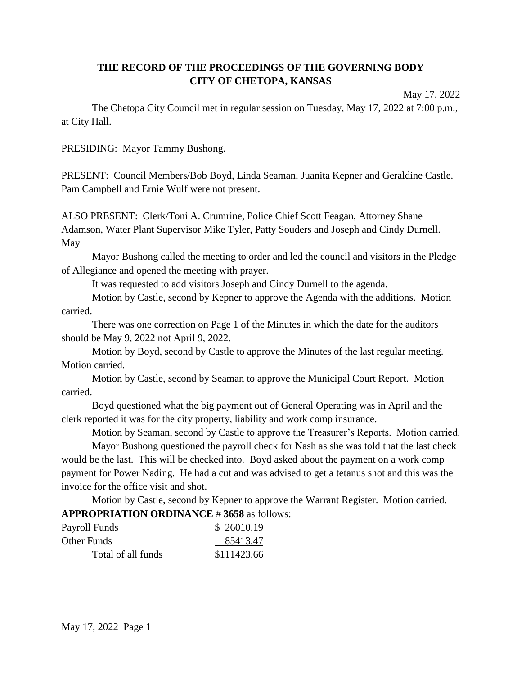# **THE RECORD OF THE PROCEEDINGS OF THE GOVERNING BODY CITY OF CHETOPA, KANSAS**

May 17, 2022

The Chetopa City Council met in regular session on Tuesday, May 17, 2022 at 7:00 p.m., at City Hall.

PRESIDING: Mayor Tammy Bushong.

PRESENT: Council Members/Bob Boyd, Linda Seaman, Juanita Kepner and Geraldine Castle. Pam Campbell and Ernie Wulf were not present.

ALSO PRESENT: Clerk/Toni A. Crumrine, Police Chief Scott Feagan, Attorney Shane Adamson, Water Plant Supervisor Mike Tyler, Patty Souders and Joseph and Cindy Durnell. May

Mayor Bushong called the meeting to order and led the council and visitors in the Pledge of Allegiance and opened the meeting with prayer.

It was requested to add visitors Joseph and Cindy Durnell to the agenda.

Motion by Castle, second by Kepner to approve the Agenda with the additions. Motion carried.

There was one correction on Page 1 of the Minutes in which the date for the auditors should be May 9, 2022 not April 9, 2022.

Motion by Boyd, second by Castle to approve the Minutes of the last regular meeting. Motion carried.

Motion by Castle, second by Seaman to approve the Municipal Court Report. Motion carried.

Boyd questioned what the big payment out of General Operating was in April and the clerk reported it was for the city property, liability and work comp insurance.

Motion by Seaman, second by Castle to approve the Treasurer's Reports. Motion carried.

Mayor Bushong questioned the payroll check for Nash as she was told that the last check would be the last. This will be checked into. Boyd asked about the payment on a work comp payment for Power Nading. He had a cut and was advised to get a tetanus shot and this was the invoice for the office visit and shot.

Motion by Castle, second by Kepner to approve the Warrant Register. Motion carried. **APPROPRIATION ORDINANCE** # **3658** as follows:

| Payroll Funds      | \$26010.19  |
|--------------------|-------------|
| Other Funds        | 85413.47    |
| Total of all funds | \$111423.66 |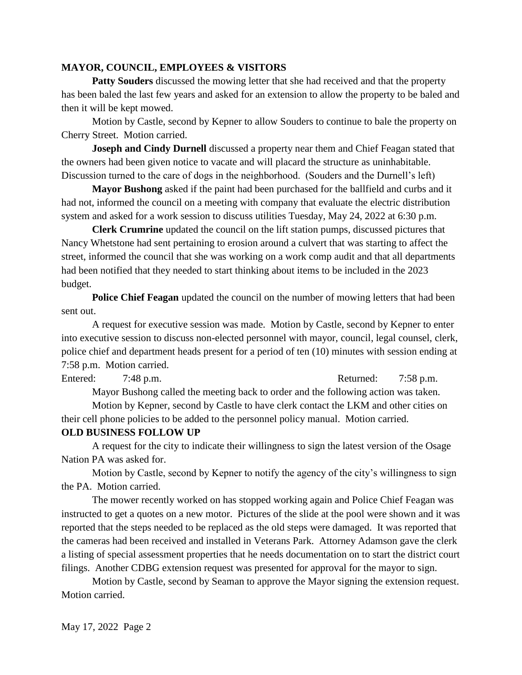### **MAYOR, COUNCIL, EMPLOYEES & VISITORS**

**Patty Souders** discussed the mowing letter that she had received and that the property has been baled the last few years and asked for an extension to allow the property to be baled and then it will be kept mowed.

Motion by Castle, second by Kepner to allow Souders to continue to bale the property on Cherry Street. Motion carried.

**Joseph and Cindy Durnell** discussed a property near them and Chief Feagan stated that the owners had been given notice to vacate and will placard the structure as uninhabitable. Discussion turned to the care of dogs in the neighborhood. (Souders and the Durnell's left)

**Mayor Bushong** asked if the paint had been purchased for the ballfield and curbs and it had not, informed the council on a meeting with company that evaluate the electric distribution system and asked for a work session to discuss utilities Tuesday, May 24, 2022 at 6:30 p.m.

**Clerk Crumrine** updated the council on the lift station pumps, discussed pictures that Nancy Whetstone had sent pertaining to erosion around a culvert that was starting to affect the street, informed the council that she was working on a work comp audit and that all departments had been notified that they needed to start thinking about items to be included in the 2023 budget.

**Police Chief Feagan** updated the council on the number of mowing letters that had been sent out.

A request for executive session was made. Motion by Castle, second by Kepner to enter into executive session to discuss non-elected personnel with mayor, council, legal counsel, clerk, police chief and department heads present for a period of ten (10) minutes with session ending at 7:58 p.m. Motion carried.

Entered: 7:48 p.m. Returned: 7:58 p.m.

Mayor Bushong called the meeting back to order and the following action was taken.

Motion by Kepner, second by Castle to have clerk contact the LKM and other cities on their cell phone policies to be added to the personnel policy manual. Motion carried.

#### **OLD BUSINESS FOLLOW UP**

A request for the city to indicate their willingness to sign the latest version of the Osage Nation PA was asked for.

Motion by Castle, second by Kepner to notify the agency of the city's willingness to sign the PA. Motion carried.

The mower recently worked on has stopped working again and Police Chief Feagan was instructed to get a quotes on a new motor. Pictures of the slide at the pool were shown and it was reported that the steps needed to be replaced as the old steps were damaged. It was reported that the cameras had been received and installed in Veterans Park. Attorney Adamson gave the clerk a listing of special assessment properties that he needs documentation on to start the district court filings. Another CDBG extension request was presented for approval for the mayor to sign.

Motion by Castle, second by Seaman to approve the Mayor signing the extension request. Motion carried.